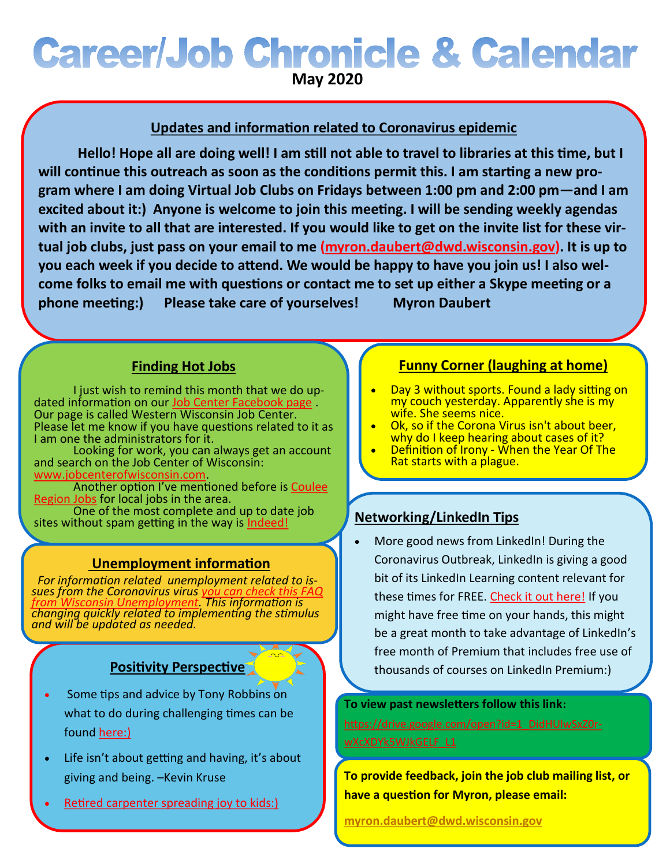# **Career/Job Chronicle & Calendar**

**May 2020**

# **Updates and information related to Coronavirus epidemic**

**Hello! Hope all are doing well! I am still not able to travel to libraries at this time, but I will continue this outreach as soon as the conditions permit this. I am starting a new program where I am doing Virtual Job Clubs on Fridays between 1:00 pm and 2:00 pm—and I am excited about it:) Anyone is welcome to join this meeting. I will be sending weekly agendas with an invite to all that are interested. If you would like to get on the invite list for these virtual job clubs, just pass on your email to me [\(myron.daubert@dwd.wisconsin.gov\).](mailto:myron.daubert@dwd.wisconsin.gov) It is up to you each week if you decide to attend. We would be happy to have you join us! I also welcome folks to email me with questions or contact me to set up either a Skype meeting or a phone meeting:) Please take care of yourselves! Myron Daubert**

# **Finding Hot Jobs**

I just wish to remind this month that we do up-dated information on our [Job Center Facebook page](https://www.facebook.com/Western-Wisconsin-Job-Center-2253041258115126/). Our page is called Western Wisconsin Job Center. Please let me know if you have questions related to it as I am one the administrators for it.

Looking for work, you can always get an account and search on the Job Center of Wisconsin: [www.jobcenterofwisconsin.com.](http://www.jobcenterofwisconsin.com)

Another option I've mentioned before is [Coulee](https://couleeregionjobs.com/)  [Region Jobs](https://couleeregionjobs.com/) for local jobs in the area.

One of the most complete and up to date job sites without spam getting in the way is [Indeed!](https://www.indeed.com/)

### **Unemployment information**

 *For information related unemployment related to issues from the Coronavirus virus [you can check this FAQ](https://dwd.wisconsin.gov/covid19/public/ui.htm)  [from Wisconsin Unemployment.](https://dwd.wisconsin.gov/covid19/public/ui.htm) This information is changing quickly related to implementing the stimulus and will be updated as needed.*

### **Positivity Perspective**

- Some tips and advice by Tony Robbins on what to do during challenging times can be found [here:\)](https://www.youtube.com/watch?v=6HhAJi5gubc)
- Life isn't about getting and having, it's about giving and being. –Kevin Kruse
- [Retired carpenter spreading joy to kids:\)](http://www.karmatube.org/videos.php?id=6790)

## **Funny Corner (laughing at home)**

- Day 3 without sports. Found a lady sitting on my couch yesterday. Apparently she is my wife. She seems nice.
- Ok, so if the Corona Virus isn't about beer. why do I keep hearing about cases of it?
- Definition of Irony When the Year Of The Rat starts with a plague.

# **Networking/LinkedIn Tips**

• More good news from LinkedIn! During the Coronavirus Outbreak, LinkedIn is giving a good bit of its LinkedIn Learning content relevant for these times for FREE. [Check it out here!](https://www.linkedin.com/learning/paths/finding-a-job-during-challenging-economic-times) If you might have free time on your hands, this might be a great month to take advantage of LinkedIn's free month of Premium that includes free use of thousands of courses on LinkedIn Premium:)

#### **To view past newsletters follow this link:**

[https://drive.google.com/open?id=1\\_DidHUlwSxZ0r](https://drive.google.com/open?id=1_DidHUlwSxZ0r-wXcXDYk5WJkGELF_L1)[wXcXDYk5WJkGELF\\_L1](https://drive.google.com/open?id=1_DidHUlwSxZ0r-wXcXDYk5WJkGELF_L1)

**To provide feedback, join the job club mailing list, or have a question for Myron, please email:**

**[myron.daubert@dwd.wisconsin.gov](mailto:myron.daubert@dwd.wisconsin.gov)**